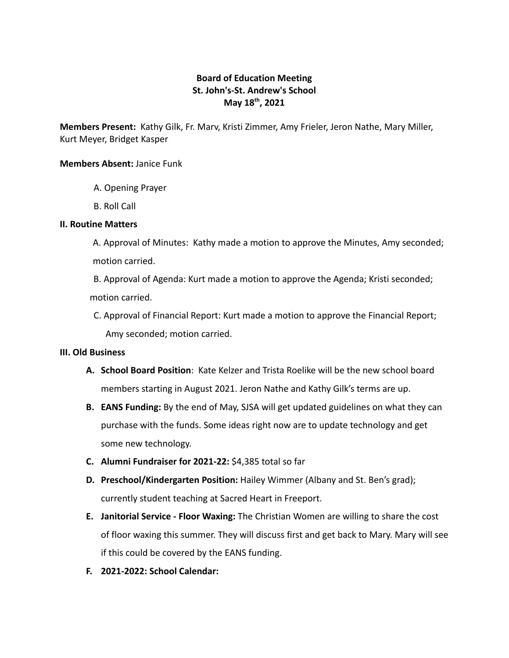# **Board of Education Meeting St. John's-St. Andrew's School May 18th , 2021**

**Members Present:** Kathy Gilk, Fr. Marv, Kristi Zimmer, Amy Frieler, Jeron Nathe, Mary Miller, Kurt Meyer, Bridget Kasper

### **Members Absent:** Janice Funk

- A. Opening Prayer
- B. Roll Call

#### **II. Routine Matters**

A. Approval of Minutes: Kathy made a motion to approve the Minutes, Amy seconded; motion carried.

B. Approval of Agenda: Kurt made a motion to approve the Agenda; Kristi seconded; motion carried.

C. Approval of Financial Report: Kurt made a motion to approve the Financial Report; Amy seconded; motion carried.

### **III. Old Business**

- **A. School Board Position**: Kate Kelzer and Trista Roelike will be the new school board members starting in August 2021. Jeron Nathe and Kathy Gilk's terms are up.
- **B. EANS Funding:** By the end of May, SJSA will get updated guidelines on what they can purchase with the funds. Some ideas right now are to update technology and get some new technology.
- **C. Alumni Fundraiser for 2021-22:** \$4,385 total so far
- **D. Preschool/Kindergarten Position:** Hailey Wimmer (Albany and St. Ben's grad); currently student teaching at Sacred Heart in Freeport.
- **E. Janitorial Service Floor Waxing:** The Christian Women are willing to share the cost of floor waxing this summer. They will discuss first and get back to Mary. Mary will see if this could be covered by the EANS funding.
- **F. 2021-2022: School Calendar:**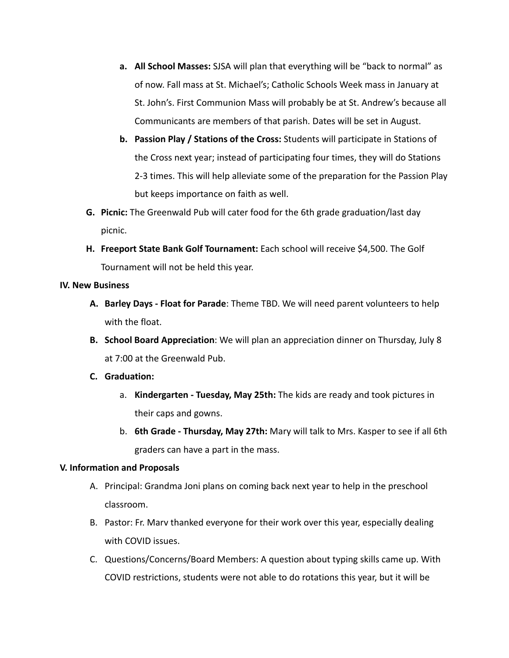- **a. All School Masses:** SJSA will plan that everything will be "back to normal" as of now. Fall mass at St. Michael's; Catholic Schools Week mass in January at St. John's. First Communion Mass will probably be at St. Andrew's because all Communicants are members of that parish. Dates will be set in August.
- **b. Passion Play / Stations of the Cross:** Students will participate in Stations of the Cross next year; instead of participating four times, they will do Stations 2-3 times. This will help alleviate some of the preparation for the Passion Play but keeps importance on faith as well.
- **G. Picnic:** The Greenwald Pub will cater food for the 6th grade graduation/last day picnic.
- **H. Freeport State Bank Golf Tournament:** Each school will receive \$4,500. The Golf Tournament will not be held this year.

### **IV. New Business**

- **A. Barley Days Float for Parade**: Theme TBD. We will need parent volunteers to help with the float.
- **B. School Board Appreciation**: We will plan an appreciation dinner on Thursday, July 8 at 7:00 at the Greenwald Pub.
- **C. Graduation:**
	- a. **Kindergarten Tuesday, May 25th:** The kids are ready and took pictures in their caps and gowns.
	- b. **6th Grade Thursday, May 27th:** Mary will talk to Mrs. Kasper to see if all 6th graders can have a part in the mass.

### **V. Information and Proposals**

- A. Principal: Grandma Joni plans on coming back next year to help in the preschool classroom.
- B. Pastor: Fr. Marv thanked everyone for their work over this year, especially dealing with COVID issues.
- C. Questions/Concerns/Board Members: A question about typing skills came up. With COVID restrictions, students were not able to do rotations this year, but it will be